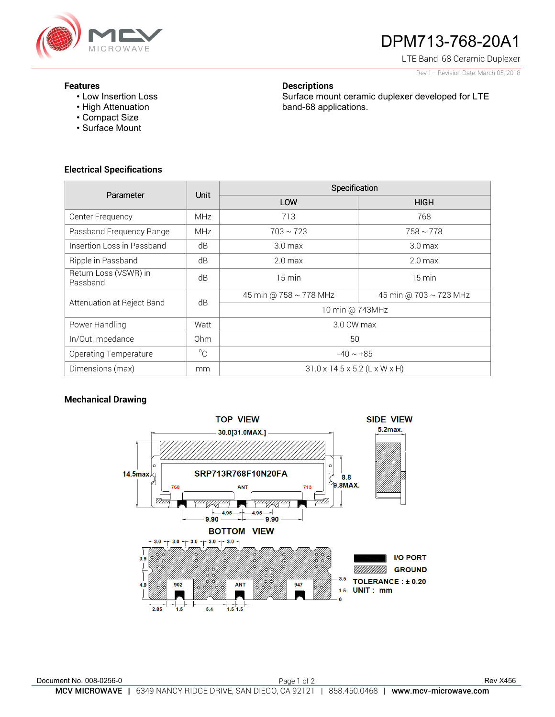

# DPM713-768-20A1

Surface mount ceramic duplexer developed for LTE

LTE Band-68 Ceramic Duplexer

Rev 1– Revision Date: March 05, 2018

#### **Features**

- Low Insertion Loss
- High Attenuation
- Compact Size
- Surface Mount

# **Electrical Specifications**

| Parameter                         | Unit        | Specification                             |                        |
|-----------------------------------|-------------|-------------------------------------------|------------------------|
|                                   |             | LOW                                       | <b>HIGH</b>            |
| Center Frequency                  | <b>MHz</b>  | 713                                       | 768                    |
| Passband Frequency Range          | <b>MHz</b>  | $703 \sim 723$                            | $758 \sim 778$         |
| Insertion Loss in Passband        | dB          | 3.0 <sub>max</sub>                        | 3.0 <sub>max</sub>     |
| Ripple in Passband                | dB          | 2.0 <sub>max</sub>                        | 2.0 <sub>max</sub>     |
| Return Loss (VSWR) in<br>Passband | dB          | $15 \text{ min}$                          | $15 \text{ min}$       |
| Attenuation at Reject Band        | dB          | 45 min @ 758 ~ 778 MHz                    | 45 min @ 703 ~ 723 MHz |
|                                   |             | 10 min @ 743MHz                           |                        |
| Power Handling                    | Watt        | 3.0 CW max                                |                        |
| In/Out Impedance                  | Ohm         | 50                                        |                        |
| Operating Temperature             | $^{\circ}C$ | $-40 \sim +85$                            |                        |
| Dimensions (max)                  | mm          | $31.0 \times 14.5 \times 5.2$ (L x W x H) |                        |

**Descriptions** 

band-68 applications.

# **Mechanical Drawing**